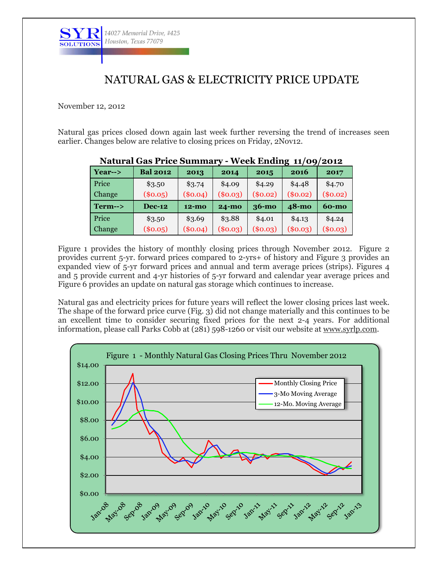

## NATURAL GAS & ELECTRICITY PRICE UPDATE

November 12, 2012

Natural gas prices closed down again last week further reversing the trend of increases seen earlier. Changes below are relative to closing prices on Friday, 2Nov12.

|                   |                 |            |              |            | . .<br>- ' |              |
|-------------------|-----------------|------------|--------------|------------|------------|--------------|
| $Year->$          | <b>Bal 2012</b> | 2013       | 2014         | 2015       | 2016       | 2017         |
| Price             | \$3.50          | \$3.74     | \$4.09       | \$4.29     | \$4.48     | \$4.70       |
| Change            | $(\$0.05)$      | $(\$0.04)$ | (\$0.03)     | $(\$0.02)$ | $(\$0.02)$ | $(\$0.02)$   |
| $Term\rightarrow$ | <b>Dec-12</b>   | $12 - m0$  | <b>24-mo</b> | $36-mo$    | 48-mo      | <b>60-mo</b> |
| Price             | \$3.50          | \$3.69     | \$3.88       | \$4.01     | \$4.13     | \$4.24       |
| Change            | (\$0.05)        | $(\$0.04)$ | $(\$0.03)$   | (\$0.03)   | (\$0.03)   | $(\$0.03)$   |

## **Natural Gas Price Summary - Week Ending 11/09/2012**

Figure 1 provides the history of monthly closing prices through November 2012. Figure 2 provides current 5-yr. forward prices compared to 2-yrs+ of history and Figure 3 provides an expanded view of 5-yr forward prices and annual and term average prices (strips). Figures 4 and 5 provide current and 4-yr histories of 5-yr forward and calendar year average prices and Figure 6 provides an update on natural gas storage which continues to increase.

Natural gas and electricity prices for future years will reflect the lower closing prices last week. The shape of the forward price curve (Fig. 3) did not change materially and this continues to be an excellent time to consider securing fixed prices for the next 2-4 years. For additional information, please call Parks Cobb at (281) 598-1260 or visit our website at [www.syrlp.com.](http://www.syrlp.com/)

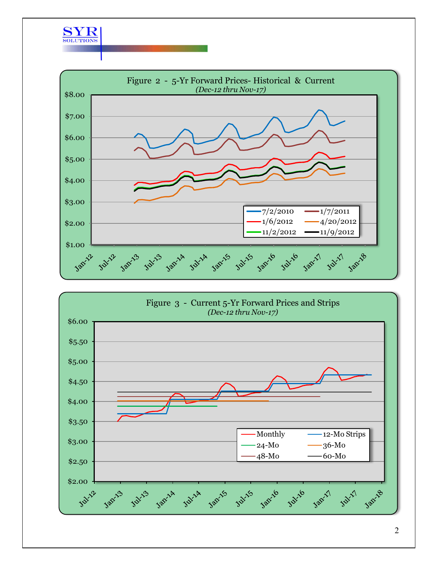



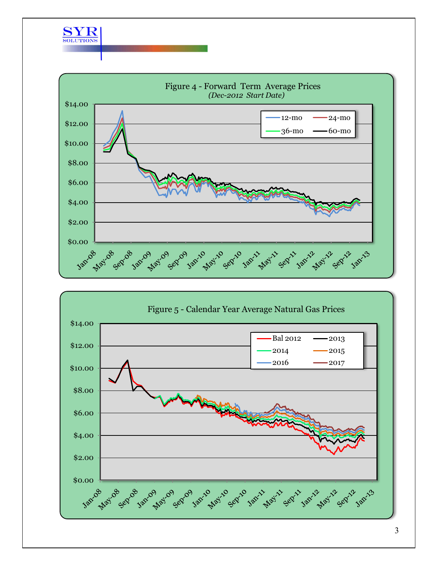